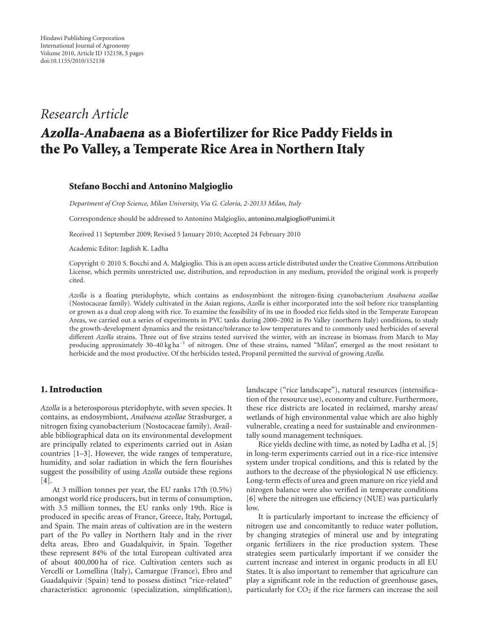# *Research Article*

# Azolla-Anabaena as a Biofertilizer for Rice Paddy Fields in the Po Valley, a Temperate Rice Area in Northern Italy

#### Stefano Bocchi and Antonino Malgioglio

*Department of Crop Science, Milan University, Via G. Celoria, 2-20133 Milan, Italy*

Correspondence should be addressed to Antonino Malgioglio, antonino.malgioglio@unimi.it

Received 11 September 2009; Revised 5 January 2010; Accepted 24 February 2010

Academic Editor: Jagdish K. Ladha

Copyright © 2010 S. Bocchi and A. Malgioglio. This is an open access article distributed under the Creative Commons Attribution License, which permits unrestricted use, distribution, and reproduction in any medium, provided the original work is properly cited.

*Azolla* is a floating pteridophyte, which contains as endosymbiont the nitrogen-fixing cyanobacterium *Anabaena azollae* (Nostocaceae family). Widely cultivated in the Asian regions, *Azolla* is either incorporated into the soil before rice transplanting or grown as a dual crop along with rice. To examine the feasibility of its use in flooded rice fields sited in the Temperate European Areas, we carried out a series of experiments in PVC tanks during 2000–2002 in Po Valley (northern Italy) conditions, to study the growth-development dynamics and the resistance/tolerance to low temperatures and to commonly used herbicides of several different *Azolla* strains. Three out of five strains tested survived the winter, with an increase in biomass from March to May producing approximately 30–40 kg ha−<sup>1</sup> of nitrogen. One of these strains, named "Milan", emerged as the most resistant to herbicide and the most productive. Of the herbicides tested, Propanil permitted the survival of growing *Azolla*.

### 1. Introduction

*Azolla* is a heterosporous pteridophyte, with seven species. It contains, as endosymbiont, *Anabaena azollae* Strasburger, a nitrogen fixing cyanobacterium (Nostocaceae family). Available bibliographical data on its environmental development are principally related to experiments carried out in Asian countries [1–3]. However, the wide ranges of temperature, humidity, and solar radiation in which the fern flourishes suggest the possibility of using *Azolla* outside these regions [4].

At 3 million tonnes per year, the EU ranks 17th (0.5%) amongst world rice producers, but in terms of consumption, with 3.5 million tonnes, the EU ranks only 19th. Rice is produced in specific areas of France, Greece, Italy, Portugal, and Spain. The main areas of cultivation are in the western part of the Po valley in Northern Italy and in the river delta areas, Ebro and Guadalquivir, in Spain. Together these represent 84% of the total European cultivated area of about 400,000 ha of rice. Cultivation centers such as Vercelli or Lomellina (Italy), Camargue (France), Ebro and Guadalquivir (Spain) tend to possess distinct "rice-related" characteristics: agronomic (specialization, simplification), landscape ("rice landscape"), natural resources (intensification of the resource use), economy and culture. Furthermore, these rice districts are located in reclaimed, marshy areas/ wetlands of high environmental value which are also highly vulnerable, creating a need for sustainable and environmentally sound management techniques.

Rice yields decline with time, as noted by Ladha et al. [5] in long-term experiments carried out in a rice-rice intensive system under tropical conditions, and this is related by the authors to the decrease of the physiological N use efficiency. Long-term effects of urea and green manure on rice yield and nitrogen balance were also verified in temperate conditions [6] where the nitrogen use efficiency (NUE) was particularly low.

It is particularly important to increase the efficiency of nitrogen use and concomitantly to reduce water pollution, by changing strategies of mineral use and by integrating organic fertilizers in the rice production system. These strategies seem particularly important if we consider the current increase and interest in organic products in all EU States. It is also important to remember that agriculture can play a significant role in the reduction of greenhouse gases, particularly for  $CO<sub>2</sub>$  if the rice farmers can increase the soil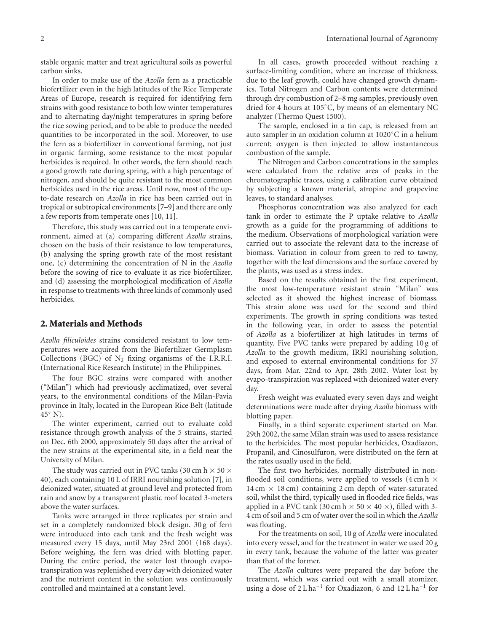stable organic matter and treat agricultural soils as powerful carbon sinks.

In order to make use of the *Azolla* fern as a practicable biofertilizer even in the high latitudes of the Rice Temperate Areas of Europe, research is required for identifying fern strains with good resistance to both low winter temperatures and to alternating day/night temperatures in spring before the rice sowing period, and to be able to produce the needed quantities to be incorporated in the soil. Moreover, to use the fern as a biofertilizer in conventional farming, not just in organic farming, some resistance to the most popular herbicides is required. In other words, the fern should reach a good growth rate during spring, with a high percentage of nitrogen, and should be quite resistant to the most common herbicides used in the rice areas. Until now, most of the upto-date research on *Azolla* in rice has been carried out in tropical or subtropical environments [7–9] and there are only a few reports from temperate ones [10, 11].

Therefore, this study was carried out in a temperate environment, aimed at (a) comparing different *Azolla* strains, chosen on the basis of their resistance to low temperatures, (b) analysing the spring growth rate of the most resistant one, (c) determining the concentration of N in the *Azolla* before the sowing of rice to evaluate it as rice biofertilizer, and (d) assessing the morphological modification of *Azolla* in response to treatments with three kinds of commonly used herbicides.

#### 2. Materials and Methods

*Azolla filiculoides* strains considered resistant to low temperatures were acquired from the Biofertilizer Germplasm Collections (BGC) of  $N_2$  fixing organisms of the I.R.R.I. (International Rice Research Institute) in the Philippines.

The four BGC strains were compared with another ("Milan") which had previously acclimatized, over several years, to the environmental conditions of the Milan-Pavia province in Italy, located in the European Rice Belt (latitude  $45^\circ$  N).

The winter experiment, carried out to evaluate cold resistance through growth analysis of the 5 strains, started on Dec. 6th 2000, approximately 50 days after the arrival of the new strains at the experimental site, in a field near the University of Milan.

The study was carried out in PVC tanks (30 cm h  $\times$  50  $\times$ 40), each containing 10 L of IRRI nourishing solution [7], in deionized water, situated at ground level and protected from rain and snow by a transparent plastic roof located 3-meters above the water surfaces.

Tanks were arranged in three replicates per strain and set in a completely randomized block design. 30 g of fern were introduced into each tank and the fresh weight was measured every 15 days, until May 23rd 2001 (168 days). Before weighing, the fern was dried with blotting paper. During the entire period, the water lost through evapotranspiration was replenished every day with deionized water and the nutrient content in the solution was continuously controlled and maintained at a constant level.

In all cases, growth proceeded without reaching a surface-limiting condition, where an increase of thickness, due to the leaf growth, could have changed growth dynamics. Total Nitrogen and Carbon contents were determined through dry combustion of 2–8 mg samples, previously oven dried for 4 hours at 105◦C, by means of an elementary NC analyzer (Thermo Quest 1500).

The sample, enclosed in a tin cap, is released from an auto sampler in an oxidation column at 1020◦C in a helium current; oxygen is then injected to allow instantaneous combustion of the sample.

The Nitrogen and Carbon concentrations in the samples were calculated from the relative area of peaks in the chromatographic traces, using a calibration curve obtained by subjecting a known material, atropine and grapevine leaves, to standard analyses.

Phosphorus concentration was also analyzed for each tank in order to estimate the P uptake relative to *Azolla* growth as a guide for the programming of additions to the medium. Observations of morphological variation were carried out to associate the relevant data to the increase of biomass. Variation in colour from green to red to tawny, together with the leaf dimensions and the surface covered by the plants, was used as a stress index.

Based on the results obtained in the first experiment, the most low-temperature resistant strain "Milan" was selected as it showed the highest increase of biomass. This strain alone was used for the second and third experiments. The growth in spring conditions was tested in the following year, in order to assess the potential of *Azolla* as a biofertilizer at high latitudes in terms of quantity. Five PVC tanks were prepared by adding 10 g of *Azolla* to the growth medium, IRRI nourishing solution, and exposed to external environmental conditions for 37 days, from Mar. 22nd to Apr. 28th 2002. Water lost by evapo-transpiration was replaced with deionized water every day.

Fresh weight was evaluated every seven days and weight determinations were made after drying *Azolla* biomass with blotting paper.

Finally, in a third separate experiment started on Mar. 29th 2002, the same Milan strain was used to assess resistance to the herbicides. The most popular herbicides, Oxadiazon, Propanil, and Cinosulfuron, were distributed on the fern at the rates usually used in the field.

The first two herbicides, normally distributed in nonflooded soil conditions, were applied to vessels  $(4 \text{ cm h} \times$  $14 \text{ cm} \times 18 \text{ cm}$  containing 2 cm depth of water-saturated soil, whilst the third, typically used in flooded rice fields, was applied in a PVC tank (30 cm h  $\times$  50  $\times$  40  $\times$ ), filled with 3-4 cm of soil and 5 cm of water over the soil in which the *Azolla* was floating.

For the treatments on soil, 10 g of *Azolla* were inoculated into every vessel, and for the treatment in water we used 20 g in every tank, because the volume of the latter was greater than that of the former.

The *Azolla* cultures were prepared the day before the treatment, which was carried out with a small atomizer, using a dose of 2 L ha−<sup>1</sup> for Oxadiazon, 6 and 12 L ha−<sup>1</sup> for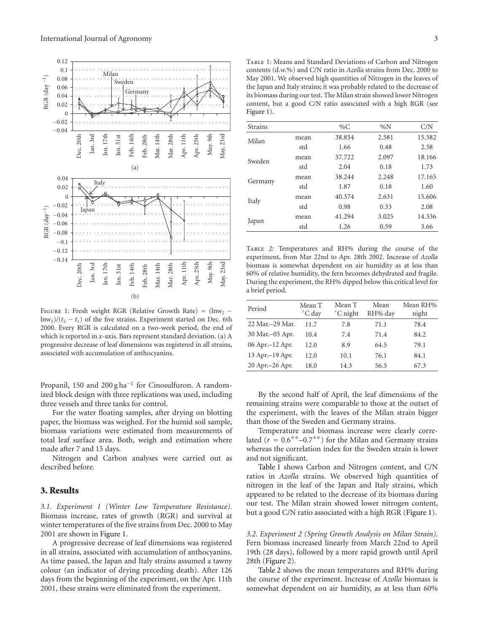

FIGURE 1: Fresh weight RGR (Relative Growth Rate) =  $\langle \text{ln}w_2$ lnw<sub>1</sub>)/( $t_2 - t_1$ ) of the five strains. Experiment started on Dec. 6th 2000. Every RGR is calculated on a two-week period, the end of which is reported in *x*-axis. Bars represent standard deviation. (a) A progressive decrease of leaf dimensions was registered in all strains, associated with accumulation of anthocyanins.

Propanil, 150 and 200 g ha<sup>-1</sup> for Cinosulfuron. A randomized block design with three replications was used, including three vessels and three tanks for control.

For the water floating samples, after drying on blotting paper, the biomass was weighed. For the humid soil sample, biomass variations were estimated from measurements of total leaf surface area. Both, weigh and estimation where made after 7 and 15 days.

Nitrogen and Carbon analyses were carried out as described before.

#### 3. Results

*3.1. Experiment 1 (Winter Low Temperature Resistance).* Biomass increase, rates of growth (RGR) and survival at winter temperatures of the five strains from Dec. 2000 to May 2001 are shown in Figure 1.

A progressive decrease of leaf dimensions was registered in all strains, associated with accumulation of anthocyanins. As time passed, the Japan and Italy strains assumed a tawny colour (an indicator of drying preceding death). After 126 days from the beginning of the experiment, on the Apr. 11th 2001, these strains were eliminated from the experiment.

TABLE 1: Means and Standard Deviations of Carbon and Nitrogen contents (d.w.%) and C/N ratio in *Azolla* strains from Dec. 2000 to May 2001. We observed high quantities of Nitrogen in the leaves of the Japan and Italy strains; it was probably related to the decrease of its biomass during our test. The Milan strain showed lower Nitrogen content, but a good C/N ratio associated with a high RGR (see Figure 1).

| <b>Strains</b> |      | % $C$  | $\%N$ | C/N    |
|----------------|------|--------|-------|--------|
| Milan          | mean | 38.854 | 2.581 | 15.582 |
|                | std  | 1.66   | 0.48  | 2.58   |
| Sweden         | mean | 37.722 | 2.097 | 18.166 |
|                | std  | 2.04   | 0.18  | 1.73   |
| Germany        | mean | 38.244 | 2.248 | 17.165 |
|                | std  | 1.87   | 0.18  | 1.60   |
| Italy          | mean | 40.374 | 2.631 | 15.606 |
|                | std  | 0.98   | 0.33  | 2.08   |
| Japan          | mean | 41.294 | 3.025 | 14.336 |
|                | std  | 1.26   | 0.59  | 3.66   |

Table 2: Temperatures and RH% during the course of the experiment, from Mar 22nd to Apr. 28th 2002. Increase of *Azolla* biomass is somewhat dependent on air humidity as at less than 60% of relative humidity, the fern becomes dehydrated and fragile. During the experiment, the RH% dipped below this critical level for a brief period.

| Period            | Mean T<br>°C day | Mean T<br>°C night | Mean<br>RH% day | Mean RH%<br>night |
|-------------------|------------------|--------------------|-----------------|-------------------|
| 22 Mar. - 29 Mar. | 11.7             | 7.8                | 71.1            | 78.4              |
| 30 Mar.-05 Apr.   | 10.4             | 7.4                | 71.4            | 84.2              |
| 06 Apr.-12 Apr.   | 12.0             | 8.9                | 64.5            | 79.1              |
| 13 Apr.-19 Apr.   | 12.0             | 10.1               | 76.1            | 84.1              |
| 20 Apr. - 26 Apr. | 18.0             | 14.3               | 56.5            | 67.3              |

By the second half of April, the leaf dimensions of the remaining strains were comparable to those at the outset of the experiment, with the leaves of the Milan strain bigger than those of the Sweden and Germany strains.

Temperature and biomass increase were clearly correlated ( $r = 0.6$ <sup>\*\*</sup>–0.7<sup>\*\*</sup>) for the Milan and Germany strains whereas the correlation index for the Sweden strain is lower and not significant.

Table 1 shows Carbon and Nitrogen content, and C/N ratios in *Azolla* strains. We observed high quantities of nitrogen in the leaf of the Japan and Italy strains, which appeared to be related to the decrease of its biomass during our test. The Milan strain showed lower nitrogen content, but a good C/N ratio associated with a high RGR (Figure 1).

*3.2. Experiment 2 (Spring Growth Analysis on Milan Strain).* Fern biomass increased linearly from March 22nd to April 19th (28 days), followed by a more rapid growth until April 28th (Figure 2).

Table 2 shows the mean temperatures and RH% during the course of the experiment. Increase of *Azolla* biomass is somewhat dependent on air humidity, as at less than 60%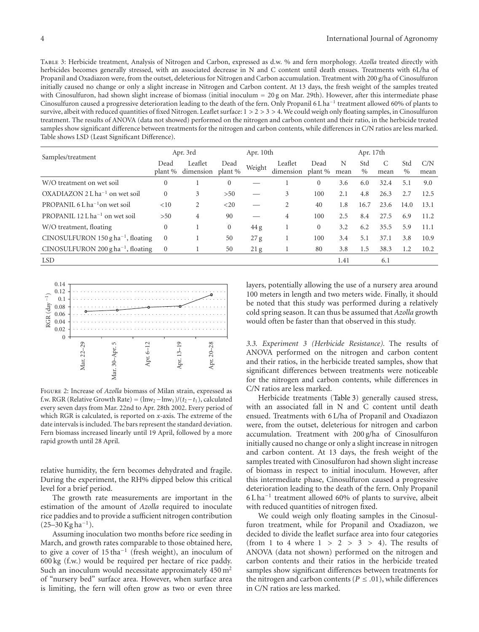Table 3: Herbicide treatment, Analysis of Nitrogen and Carbon, expressed as d.w. % and fern morphology. *Azolla* treated directly with herbicides becomes generally stressed, with an associated decrease in N and C content until death ensues. Treatments with 6L/ha of Propanil and Oxadiazon were, from the outset, deleterious for Nitrogen and Carbon accumulation. Treatment with 200 g/ha of Cinosulfuron initially caused no change or only a slight increase in Nitrogen and Carbon content. At 13 days, the fresh weight of the samples treated with Cinosulfuron, had shown slight increase of biomass (initial inoculum = 20 g on Mar. 29th). However, after this intermediate phase Cinosulfuron caused a progressive deterioration leading to the death of the fern. Only Propanil 6 L ha−<sup>1</sup> treatment allowed 60% of plants to survive, albeit with reduced quantities of fixed Nitrogen. Leaflet surface: 1 *>* 2 *>* 3 *>* 4. We could weigh only floating samples, in Cinosulfuron treatment. The results of ANOVA (data not showed) performed on the nitrogen and carbon content and their ratio, in the herbicide treated samples show significant difference between treatments for the nitrogen and carbon contents, while differences in C/N ratios are less marked. Table shows LSD (Least Significant Difference).

| Samples/treatment                                      | Apr. 3rd        |                      |                 | Apr. 10th |                      | Apr. 17th       |           |             |      |             |             |
|--------------------------------------------------------|-----------------|----------------------|-----------------|-----------|----------------------|-----------------|-----------|-------------|------|-------------|-------------|
|                                                        | Dead<br>plant % | Leaflet<br>dimension | Dead<br>plant % | Weight    | Leaflet<br>dimension | Dead<br>plant % | N<br>mean | Std<br>$\%$ | mean | Std<br>$\%$ | C/N<br>mean |
| W/O treatment on wet soil                              | $\mathbf{0}$    |                      | $\mathbf{0}$    |           |                      | $\overline{0}$  | 3.6       | 6.0         | 32.4 | 5.1         | 9.0         |
| $OXADIAZON 2Lha-1$ on wet soil                         | $\mathbf{0}$    | 3                    | >50             |           | 3                    | 100             | 2.1       | 4.8         | 26.3 | 2.7         | 12.5        |
| PROPANIL 6 L ha <sup><math>-1</math></sup> on wet soil | <10             | 2                    | $<$ 20          |           | 2                    | 40              | 1.8       | 16.7        | 23.6 | 14.0        | 13.1        |
| PROPANIL $12$ L ha <sup>-1</sup> on wet soil           | >50             | 4                    | 90              |           | 4                    | 100             | 2.5       | 8.4         | 27.5 | 6.9         | 11.2        |
| W/O treatment, floating                                | $\mathbf{0}$    |                      | $\mathbf{0}$    | 44 g      |                      | $\overline{0}$  | 3.2       | 6.2         | 35.5 | 5.9         | 11.1        |
| CINOSULFURON 150 g ha <sup>-1</sup> , floating         | $\Omega$        |                      | 50              | 27 g      |                      | 100             | 3.4       | 5.1         | 37.1 | 3.8         | 10.9        |
| CINOSULFURON 200 g ha <sup>-1</sup> , floating         | $\mathbf{0}$    |                      | 50              | 21 g      | 1                    | 80              | 3.8       | 1.5         | 38.3 | 1.2         | 10.2        |
| <b>LSD</b>                                             |                 |                      |                 |           |                      |                 | 1.41      |             | 6.1  |             |             |



Figure 2: Increase of *Azolla* biomass of Milan strain, expressed as f.w. RGR (Relative Growth Rate) =  $(\ln w_2 - \ln w_1)/(t_2 - t_1)$ , calculated every seven days from Mar. 22nd to Apr. 28th 2002. Every period of which RGR is calculated, is reported on *x*-axis. The extreme of the date intervals is included. The bars represent the standard deviation. Fern biomass increased linearly until 19 April, followed by a more rapid growth until 28 April.

relative humidity, the fern becomes dehydrated and fragile. During the experiment, the RH% dipped below this critical level for a brief period.

The growth rate measurements are important in the estimation of the amount of *Azolla* required to inoculate rice paddies and to provide a sufficient nitrogen contribution  $(25–30 \text{ Kg ha}^{-1}).$ 

Assuming inoculation two months before rice seeding in March, and growth rates comparable to those obtained here, to give a cover of 15 tha−<sup>1</sup> (fresh weight), an inoculum of 600 kg (f.w.) would be required per hectare of rice paddy. Such an inoculum would necessitate approximately  $450 \text{ m}^2$ of "nursery bed" surface area. However, when surface area is limiting, the fern will often grow as two or even three

layers, potentially allowing the use of a nursery area around 100 meters in length and two meters wide. Finally, it should be noted that this study was performed during a relatively cold spring season. It can thus be assumed that *Azolla* growth would often be faster than that observed in this study.

*3.3. Experiment 3 (Herbicide Resistance).* The results of ANOVA performed on the nitrogen and carbon content and their ratios, in the herbicide treated samples, show that significant differences between treatments were noticeable for the nitrogen and carbon contents, while differences in C/N ratios are less marked.

Herbicide treatments (Table 3) generally caused stress, with an associated fall in N and C content until death ensued. Treatments with 6 L/ha of Propanil and Oxadiazon were, from the outset, deleterious for nitrogen and carbon accumulation. Treatment with 200 g/ha of Cinosulfuron initially caused no change or only a slight increase in nitrogen and carbon content. At 13 days, the fresh weight of the samples treated with Cinosulfuron had shown slight increase of biomass in respect to initial inoculum. However, after this intermediate phase, Cinosulfuron caused a progressive deterioration leading to the death of the fern. Only Propanil 6 L ha−<sup>1</sup> treatment allowed 60% of plants to survive, albeit with reduced quantities of nitrogen fixed.

We could weigh only floating samples in the Cinosulfuron treatment, while for Propanil and Oxadiazon, we decided to divide the leaflet surface area into four categories (from 1 to 4 where 1 *>* 2 *>* 3 *>* 4). The results of ANOVA (data not shown) performed on the nitrogen and carbon contents and their ratios in the herbicide treated samples show significant differences between treatments for the nitrogen and carbon contents ( $P \leq .01$ ), while differences in C/N ratios are less marked.